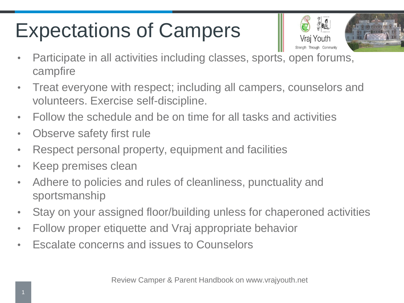## Expectations of Campers





- Participate in all activities including classes, sports, open forums, campfire
- Treat everyone with respect; including all campers, counselors and volunteers. Exercise self-discipline.
- Follow the schedule and be on time for all tasks and activities
- Observe safety first rule
- Respect personal property, equipment and facilities
- Keep premises clean
- Adhere to policies and rules of cleanliness, punctuality and sportsmanship
- Stay on your assigned floor/building unless for chaperoned activities
- Follow proper etiquette and Vraj appropriate behavior
- Escalate concerns and issues to Counselors